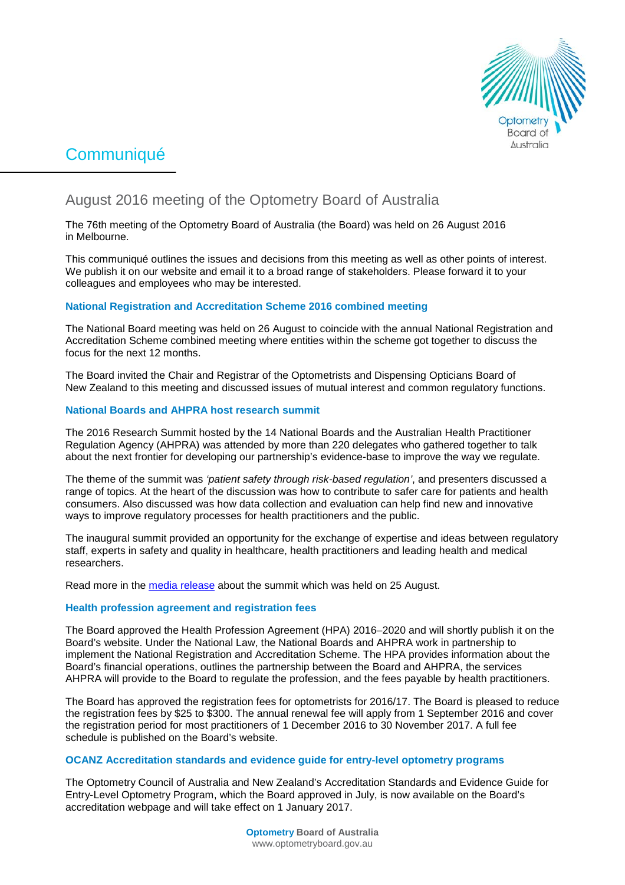

# **Communiqué**

## August 2016 meeting of the Optometry Board of Australia

The 76th meeting of the Optometry Board of Australia (the Board) was held on 26 August 2016 in Melbourne.

This communiqué outlines the issues and decisions from this meeting as well as other points of interest. We publish it on our website and email it to a broad range of stakeholders. Please forward it to your colleagues and employees who may be interested.

## **National Registration and Accreditation Scheme 2016 combined meeting**

The National Board meeting was held on 26 August to coincide with the annual National Registration and Accreditation Scheme combined meeting where entities within the scheme got together to discuss the focus for the next 12 months.

The Board invited the Chair and Registrar of the Optometrists and Dispensing Opticians Board of New Zealand to this meeting and discussed issues of mutual interest and common regulatory functions.

## **National Boards and AHPRA host research summit**

The 2016 Research Summit hosted by the 14 National Boards and the Australian Health Practitioner Regulation Agency (AHPRA) was attended by more than 220 delegates who gathered together to talk about the next frontier for developing our partnership's evidence-base to improve the way we regulate.

The theme of the summit was *'patient safety through risk-based regulation'*, and presenters discussed a range of topics. At the heart of the discussion was how to contribute to safer care for patients and health consumers. Also discussed was how data collection and evaluation can help find new and innovative ways to improve regulatory processes for health practitioners and the public.

The inaugural summit provided an opportunity for the exchange of expertise and ideas between regulatory staff, experts in safety and quality in healthcare, health practitioners and leading health and medical researchers.

Read more in the [media release](http://www.ahpra.gov.au/News/2016-08-25-research-summit.aspx) about the summit which was held on 25 August.

## **Health profession agreement and registration fees**

The Board approved the Health Profession Agreement (HPA) 2016–2020 and will shortly publish it on the Board's [website.](http://www.optometryboard.gov.au/About/Health-Profession-Agreements.aspx) Under the National Law, the National Boards and AHPRA work in partnership to implement the National Registration and Accreditation Scheme. The HPA provides information about the Board's financial operations, outlines the partnership between the Board and AHPRA, the services AHPRA will provide to the Board to regulate the profession, and the fees payable by health practitioners.

The Board has approved the registration fees for optometrists for 2016/17. The Board is pleased to reduce the registration fees by \$25 to \$300. The annual renewal fee will apply from 1 September 2016 and cover the registration period for most practitioners of 1 December 2016 to 30 November 2017. A full fee schedule is published on the Board's [website.](http://www.optometryboard.gov.au/Registration/Fees.aspx)

## **OCANZ Accreditation standards and evidence guide for entry-level optometry programs**

The Optometry Council of Australia and New Zealand's Accreditation Standards and Evidence Guide for Entry-Level Optometry Program, which the Board approved in July, is now available on the Board's accreditation [webpage](http://www.optometryboard.gov.au/Accreditation.aspx) and will take effect on 1 January 2017.